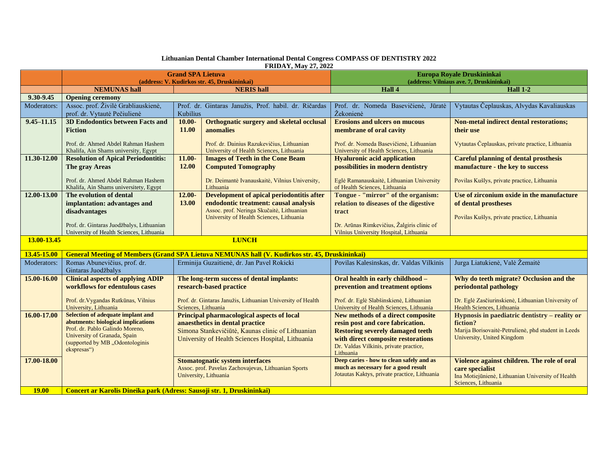| <b>FRIDAY, May 27, 2022</b> |                                                                                                                                                                                                     |                                                                                                                                                                                                |                                                                                                                                                                                    |                                                                                                                                                                                                                      |                                                                                                                                                      |  |  |  |  |  |
|-----------------------------|-----------------------------------------------------------------------------------------------------------------------------------------------------------------------------------------------------|------------------------------------------------------------------------------------------------------------------------------------------------------------------------------------------------|------------------------------------------------------------------------------------------------------------------------------------------------------------------------------------|----------------------------------------------------------------------------------------------------------------------------------------------------------------------------------------------------------------------|------------------------------------------------------------------------------------------------------------------------------------------------------|--|--|--|--|--|
|                             |                                                                                                                                                                                                     | <b>Grand SPA Lietuva</b>                                                                                                                                                                       |                                                                                                                                                                                    | Europa Royale Druskininkai<br>(address: Vilniaus ave. 7, Druskininkai)                                                                                                                                               |                                                                                                                                                      |  |  |  |  |  |
|                             | <b>NEMUNAS hall</b>                                                                                                                                                                                 | (address: V. Kudirkos str. 45, Druskininkai)<br><b>NERIS</b> hall                                                                                                                              |                                                                                                                                                                                    | Hall 4                                                                                                                                                                                                               | <b>Hall 1-2</b>                                                                                                                                      |  |  |  |  |  |
| 9.30-9.45                   | <b>Opening ceremony</b>                                                                                                                                                                             |                                                                                                                                                                                                |                                                                                                                                                                                    |                                                                                                                                                                                                                      |                                                                                                                                                      |  |  |  |  |  |
| Moderators:                 | Assoc. prof. Živilė Grabliauskienė,<br>prof. dr. Vytautė Pečiulienė                                                                                                                                 | Prof. dr. Gintaras Janužis, Prof. habil. dr. Ričardas<br>Kubilius                                                                                                                              |                                                                                                                                                                                    | Prof. dr. Nomeda Basevičienė, Jūratė<br>Žekonienė                                                                                                                                                                    | Vytautas Čeplauskas, Alvydas Kavaliauskas                                                                                                            |  |  |  |  |  |
| $9.45 - 11.15$              | <b>3D Endodontics between Facts and</b><br><b>Fiction</b><br>Prof. dr. Ahmed Abdel Rahman Hashem<br>Khalifa, Ain Shams university, Egypt                                                            | $10.00 -$<br>11.00                                                                                                                                                                             | Orthognatic surgery and skeletal occlusal<br>anomalies<br>Prof. dr. Dainius Razukevičius, Lithuanian<br>University of Health Sciences, Lithuania                                   | <b>Erosions and ulcers on mucous</b><br>membrane of oral cavity<br>Prof. dr. Nomeda Basevičienė, Lithuanian<br>University of Health Sciences, Lithuania                                                              | <b>Non-metal indirect dental restorations;</b><br>their use<br>Vytautas Čeplauskas, private practice, Lithuania                                      |  |  |  |  |  |
| 11.30-12.00                 | <b>Resolution of Apical Periodontitis:</b><br>The gray Areas<br>Prof. dr. Ahmed Abdel Rahman Hashem<br>Khalifa, Ain Shams universitety, Egypt                                                       | $11.00 -$<br>12.00                                                                                                                                                                             | <b>Images of Teeth in the Cone Beam</b><br><b>Computed Tomography</b><br>Dr. Deimantė Ivanauskaitė, Vilnius University,<br>Lithuania                                               | <b>Hyaluronic acid application</b><br>possibilities in modern dentistry<br>Eglė Ramanauskaitė, Lithuanian University<br>of Health Sciences, Lithuania                                                                | <b>Careful planning of dental prosthesis</b><br>manufacture - the key to success<br>Povilas Kušlys, private practice, Lithuania                      |  |  |  |  |  |
| 12.00-13.00                 | The evolution of dental<br>implantation: advantages and<br>disadvantages<br>Prof. dr. Gintaras Juodžbalys, Lithuanian<br>University of Health Sciences, Lithuania                                   | $12.00 -$<br>13.00                                                                                                                                                                             | <b>Development of apical periodontitis after</b><br>endodontic treatment: causal analysis<br>Assoc. prof. Neringa Skučaitė, Lithuanian<br>University of Health Sciences, Lithuania | Tongue - "mirror" of the organism:<br>relation to diseases of the digestive<br>tract<br>Dr. Arūnas Rimkevičius, Žalgiris clinic of<br>Vilnius University Hospital, Lithuania                                         | Use of zirconium oxide in the manufacture<br>of dental prostheses<br>Povilas Kušlys, private practice, Lithuania                                     |  |  |  |  |  |
| 13.00-13.45<br><b>LUNCH</b> |                                                                                                                                                                                                     |                                                                                                                                                                                                |                                                                                                                                                                                    |                                                                                                                                                                                                                      |                                                                                                                                                      |  |  |  |  |  |
| 13.45-15.00                 | <b>General Meeting of Members (Grand SPA Lietuva NEMUNAS hall (V. Kudirkos str. 45, Druskininkai)</b>                                                                                               |                                                                                                                                                                                                |                                                                                                                                                                                    |                                                                                                                                                                                                                      |                                                                                                                                                      |  |  |  |  |  |
| Moderators:                 | Romas Abunevičius, prof. dr.<br>Gintaras Juodžbalys                                                                                                                                                 | Erminija Guzaitienė, dr. Jan Pavel Rokicki                                                                                                                                                     |                                                                                                                                                                                    | Povilas Kalesinskas, dr. Valdas Vilkinis                                                                                                                                                                             | Jurga Liatukienė, Valė Žemaitė                                                                                                                       |  |  |  |  |  |
| 15.00-16.00                 | <b>Clinical aspects of applying ADIP</b><br>workflows for edentulous cases<br>Prof. dr. Vygandas Rutkūnas, Vilnius<br>University, Lithuania                                                         | The long-term success of dental implants:<br>research-based practice<br>Prof. dr. Gintaras Janužis, Lithuanian University of Health<br>Sciences, Lithuania                                     |                                                                                                                                                                                    | Oral health in early childhood -<br>prevention and treatment options<br>Prof. dr. Eglė Slabšinskienė, Lithuanian<br>University of Health Sciences, Lithuania                                                         | Why do teeth migrate? Occlusion and the<br>periodontal pathology<br>Dr. Eglė Zasčiurinskienė, Lithuanian University of<br>Health Sciences, Lithuania |  |  |  |  |  |
| 16.00-17.00                 | <b>Selection of adequate implant and</b><br>abutments: biological implications<br>Prof. dr. Pablo Galindo Moreno,<br>University of Granada, Spain<br>(supported by MB "Odontologinis<br>ekspresas") | <b>Principal pharmacological aspects of local</b><br>anaesthetics in dental practice<br>Simona Stankevičiūtė, Kaunas clinic of Lithuanian<br>University of Health Sciences Hospital, Lithuania |                                                                                                                                                                                    | <b>New methods of a direct composite</b><br>resin post and core fabrication.<br><b>Restoring severely damaged teeth</b><br>with direct composite restorations<br>Dr. Valdas Vilkinis, private practice,<br>Lithuania | Hypnosis in paediatric dentistry – reality or<br>fiction?<br>Marija Borisovaitė-Petrulienė, phd student in Leeds<br>University, United Kingdom       |  |  |  |  |  |
| 17.00-18.00                 |                                                                                                                                                                                                     |                                                                                                                                                                                                | <b>Stomatognatic system interfaces</b><br>Assoc. prof. Pavelas Zachovajevas, Lithuanian Sports<br>University, Lithuania                                                            | Deep caries - how to clean safely and as<br>much as necessary for a good result<br>Jotautas Kaktys, private practice, Lithuania                                                                                      | Violence against children. The role of oral<br>care specialist<br>Ina Motiejūnienė, Lithuanian University of Health<br>Sciences, Lithuania           |  |  |  |  |  |
| <b>19.00</b>                | Concert ar Karolis Dineika park (Adress: Sausoji str. 1, Druskininkai)                                                                                                                              |                                                                                                                                                                                                |                                                                                                                                                                                    |                                                                                                                                                                                                                      |                                                                                                                                                      |  |  |  |  |  |

## **Lithuanian Dental Chamber International Dental Congress COMPASS OF DENTISTRY 2022**